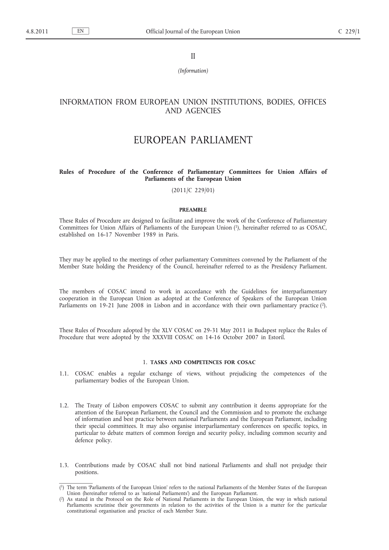II

*(Information)*

## INFORMATION FROM EUROPEAN UNION INSTITUTIONS, BODIES, OFFICES AND AGENCIES

# EUROPEAN PARLIAMENT

## **Rules of Procedure of the Conference of Parliamentary Committees for Union Affairs of Parliaments of the European Union**

(2011/C 229/01)

#### **PREAMBLE**

These Rules of Procedure are designed to facilitate and improve the work of the Conference of Parliamentary Committees for Union Affairs of Parliaments of the European Union (1), hereinafter referred to as COSAC, established on 16-17 November 1989 in Paris.

They may be applied to the meetings of other parliamentary Committees convened by the Parliament of the Member State holding the Presidency of the Council, hereinafter referred to as the Presidency Parliament.

The members of COSAC intend to work in accordance with the Guidelines for interparliamentary cooperation in the European Union as adopted at the Conference of Speakers of the European Union Parliaments on 19-21 June 2008 in Lisbon and in accordance with their own parliamentary practice  $(2)$ .

These Rules of Procedure adopted by the XLV COSAC on 29-31 May 2011 in Budapest replace the Rules of Procedure that were adopted by the XXXVIII COSAC on 14-16 October 2007 in Estoril.

## 1. **TASKS AND COMPETENCES FOR COSAC**

- 1.1. COSAC enables a regular exchange of views, without prejudicing the competences of the parliamentary bodies of the European Union.
- 1.2. The Treaty of Lisbon empowers COSAC to submit any contribution it deems appropriate for the attention of the European Parliament, the Council and the Commission and to promote the exchange of information and best practice between national Parliaments and the European Parliament, including their special committees. It may also organise interparliamentary conferences on specific topics, in particular to debate matters of common foreign and security policy, including common security and defence policy.
- 1.3. Contributions made by COSAC shall not bind national Parliaments and shall not prejudge their positions.

<sup>(</sup> 1) The term 'Parliaments of the European Union' refers to the national Parliaments of the Member States of the European Union (hereinafter referred to as 'national Parliaments') and the European Parliament.

 $(2)$ 2) As stated in the Protocol on the Role of National Parliaments in the European Union, the way in which national Parliaments scrutinise their governments in relation to the activities of the Union is a matter for the particular constitutional organisation and practice of each Member State.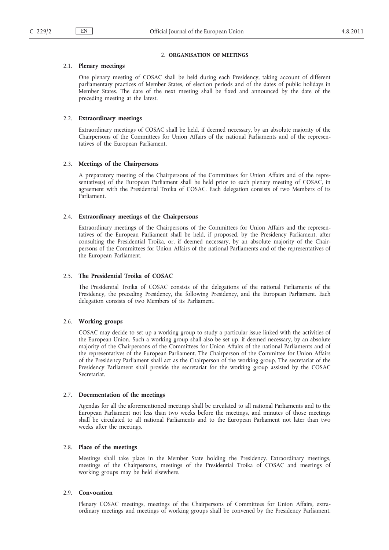#### 2. **ORGANISATION OF MEETINGS**

## 2.1. **Plenary meetings**

One plenary meeting of COSAC shall be held during each Presidency, taking account of different parliamentary practices of Member States, of election periods and of the dates of public holidays in Member States. The date of the next meeting shall be fixed and announced by the date of the preceding meeting at the latest.

#### 2.2. **Extraordinary meetings**

Extraordinary meetings of COSAC shall be held, if deemed necessary, by an absolute majority of the Chairpersons of the Committees for Union Affairs of the national Parliaments and of the representatives of the European Parliament.

#### 2.3. **Meetings of the Chairpersons**

A preparatory meeting of the Chairpersons of the Committees for Union Affairs and of the representative(s) of the European Parliament shall be held prior to each plenary meeting of COSAC, in agreement with the Presidential Troika of COSAC. Each delegation consists of two Members of its Parliament.

## 2.4. **Extraordinary meetings of the Chairpersons**

Extraordinary meetings of the Chairpersons of the Committees for Union Affairs and the representatives of the European Parliament shall be held, if proposed, by the Presidency Parliament, after consulting the Presidential Troika, or, if deemed necessary, by an absolute majority of the Chairpersons of the Committees for Union Affairs of the national Parliaments and of the representatives of the European Parliament.

## 2.5. **The Presidential Troika of COSAC**

The Presidential Troika of COSAC consists of the delegations of the national Parliaments of the Presidency, the preceding Presidency, the following Presidency, and the European Parliament. Each delegation consists of two Members of its Parliament.

## 2.6. **Working groups**

COSAC may decide to set up a working group to study a particular issue linked with the activities of the European Union. Such a working group shall also be set up, if deemed necessary, by an absolute majority of the Chairpersons of the Committees for Union Affairs of the national Parliaments and of the representatives of the European Parliament. The Chairperson of the Committee for Union Affairs of the Presidency Parliament shall act as the Chairperson of the working group. The secretariat of the Presidency Parliament shall provide the secretariat for the working group assisted by the COSAC Secretariat.

#### 2.7. **Documentation of the meetings**

Agendas for all the aforementioned meetings shall be circulated to all national Parliaments and to the European Parliament not less than two weeks before the meetings, and minutes of those meetings shall be circulated to all national Parliaments and to the European Parliament not later than two weeks after the meetings.

## 2.8. **Place of the meetings**

Meetings shall take place in the Member State holding the Presidency. Extraordinary meetings, meetings of the Chairpersons, meetings of the Presidential Troika of COSAC and meetings of working groups may be held elsewhere.

#### 2.9. **Convocation**

Plenary COSAC meetings, meetings of the Chairpersons of Committees for Union Affairs, extraordinary meetings and meetings of working groups shall be convened by the Presidency Parliament.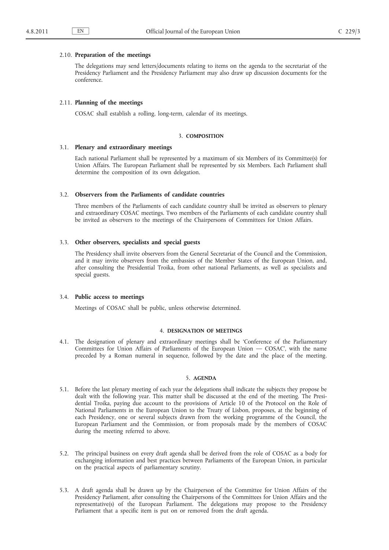#### 2.10. **Preparation of the meetings**

The delegations may send letters/documents relating to items on the agenda to the secretariat of the Presidency Parliament and the Presidency Parliament may also draw up discussion documents for the conference.

#### 2.11. **Planning of the meetings**

COSAC shall establish a rolling, long-term, calendar of its meetings.

#### 3. **COMPOSITION**

## 3.1. **Plenary and extraordinary meetings**

Each national Parliament shall be represented by a maximum of six Members of its Committee(s) for Union Affairs. The European Parliament shall be represented by six Members. Each Parliament shall determine the composition of its own delegation.

#### 3.2. **Observers from the Parliaments of candidate countries**

Three members of the Parliaments of each candidate country shall be invited as observers to plenary and extraordinary COSAC meetings. Two members of the Parliaments of each candidate country shall be invited as observers to the meetings of the Chairpersons of Committees for Union Affairs.

#### 3.3. **Other observers, specialists and special guests**

The Presidency shall invite observers from the General Secretariat of the Council and the Commission, and it may invite observers from the embassies of the Member States of the European Union, and, after consulting the Presidential Troika, from other national Parliaments, as well as specialists and special guests.

#### 3.4. **Public access to meetings**

Meetings of COSAC shall be public, unless otherwise determined.

#### 4. **DESIGNATION OF MEETINGS**

4.1. The designation of plenary and extraordinary meetings shall be 'Conference of the Parliamentary Committees for Union Affairs of Parliaments of the European Union — COSAC', with the name preceded by a Roman numeral in sequence, followed by the date and the place of the meeting.

## 5. **AGENDA**

- 5.1. Before the last plenary meeting of each year the delegations shall indicate the subjects they propose be dealt with the following year. This matter shall be discussed at the end of the meeting. The Presidential Troika, paying due account to the provisions of Article 10 of the Protocol on the Role of National Parliaments in the European Union to the Treaty of Lisbon, proposes, at the beginning of each Presidency, one or several subjects drawn from the working programme of the Council, the European Parliament and the Commission, or from proposals made by the members of COSAC during the meeting referred to above.
- 5.2. The principal business on every draft agenda shall be derived from the role of COSAC as a body for exchanging information and best practices between Parliaments of the European Union, in particular on the practical aspects of parliamentary scrutiny.
- 5.3. A draft agenda shall be drawn up by the Chairperson of the Committee for Union Affairs of the Presidency Parliament, after consulting the Chairpersons of the Committees for Union Affairs and the representative(s) of the European Parliament. The delegations may propose to the Presidency Parliament that a specific item is put on or removed from the draft agenda.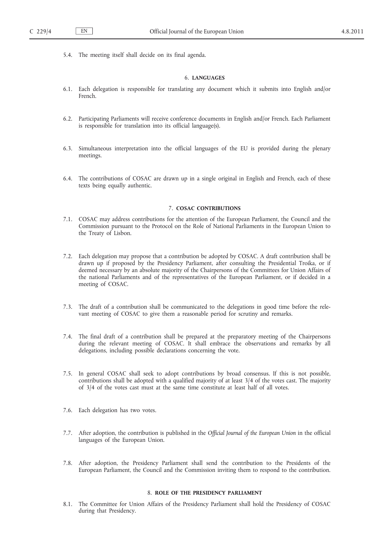5.4. The meeting itself shall decide on its final agenda.

## 6. **LANGUAGES**

- 6.1. Each delegation is responsible for translating any document which it submits into English and/or French.
- 6.2. Participating Parliaments will receive conference documents in English and/or French. Each Parliament is responsible for translation into its official language(s).
- 6.3. Simultaneous interpretation into the official languages of the EU is provided during the plenary meetings.
- 6.4. The contributions of COSAC are drawn up in a single original in English and French, each of these texts being equally authentic.

#### 7. **COSAC CONTRIBUTIONS**

- 7.1. COSAC may address contributions for the attention of the European Parliament, the Council and the Commission pursuant to the Protocol on the Role of National Parliaments in the European Union to the Treaty of Lisbon.
- 7.2. Each delegation may propose that a contribution be adopted by COSAC. A draft contribution shall be drawn up if proposed by the Presidency Parliament, after consulting the Presidential Troika, or if deemed necessary by an absolute majority of the Chairpersons of the Committees for Union Affairs of the national Parliaments and of the representatives of the European Parliament, or if decided in a meeting of COSAC.
- 7.3. The draft of a contribution shall be communicated to the delegations in good time before the relevant meeting of COSAC to give them a reasonable period for scrutiny and remarks.
- 7.4. The final draft of a contribution shall be prepared at the preparatory meeting of the Chairpersons during the relevant meeting of COSAC. It shall embrace the observations and remarks by all delegations, including possible declarations concerning the vote.
- 7.5. In general COSAC shall seek to adopt contributions by broad consensus. If this is not possible, contributions shall be adopted with a qualified majority of at least 3/4 of the votes cast. The majority of 3/4 of the votes cast must at the same time constitute at least half of all votes.
- 7.6. Each delegation has two votes.
- 7.7. After adoption, the contribution is published in the *Official Journal of the European Union* in the official languages of the European Union.
- 7.8. After adoption, the Presidency Parliament shall send the contribution to the Presidents of the European Parliament, the Council and the Commission inviting them to respond to the contribution.

## 8. **ROLE OF THE PRESIDENCY PARLIAMENT**

8.1. The Committee for Union Affairs of the Presidency Parliament shall hold the Presidency of COSAC during that Presidency.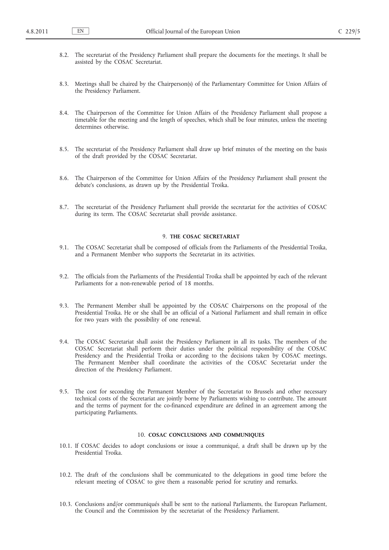- 8.2. The secretariat of the Presidency Parliament shall prepare the documents for the meetings. It shall be assisted by the COSAC Secretariat.
- 8.3. Meetings shall be chaired by the Chairperson(s) of the Parliamentary Committee for Union Affairs of the Presidency Parliament.
- 8.4. The Chairperson of the Committee for Union Affairs of the Presidency Parliament shall propose a timetable for the meeting and the length of speeches, which shall be four minutes, unless the meeting determines otherwise.
- 8.5. The secretariat of the Presidency Parliament shall draw up brief minutes of the meeting on the basis of the draft provided by the COSAC Secretariat.
- 8.6. The Chairperson of the Committee for Union Affairs of the Presidency Parliament shall present the debate's conclusions, as drawn up by the Presidential Troika.
- 8.7. The secretariat of the Presidency Parliament shall provide the secretariat for the activities of COSAC during its term. The COSAC Secretariat shall provide assistance.

#### 9. **THE COSAC SECRETARIAT**

- 9.1. The COSAC Secretariat shall be composed of officials from the Parliaments of the Presidential Troika, and a Permanent Member who supports the Secretariat in its activities.
- 9.2. The officials from the Parliaments of the Presidential Troika shall be appointed by each of the relevant Parliaments for a non-renewable period of 18 months.
- 9.3. The Permanent Member shall be appointed by the COSAC Chairpersons on the proposal of the Presidential Troika. He or she shall be an official of a National Parliament and shall remain in office for two years with the possibility of one renewal.
- 9.4. The COSAC Secretariat shall assist the Presidency Parliament in all its tasks. The members of the COSAC Secretariat shall perform their duties under the political responsibility of the COSAC Presidency and the Presidential Troika or according to the decisions taken by COSAC meetings. The Permanent Member shall coordinate the activities of the COSAC Secretariat under the direction of the Presidency Parliament.
- 9.5. The cost for seconding the Permanent Member of the Secretariat to Brussels and other necessary technical costs of the Secretariat are jointly borne by Parliaments wishing to contribute. The amount and the terms of payment for the co-financed expenditure are defined in an agreement among the participating Parliaments.

## 10. **COSAC CONCLUSIONS AND COMMUNIQUES**

- 10.1. If COSAC decides to adopt conclusions or issue a communiqué, a draft shall be drawn up by the Presidential Troika.
- 10.2. The draft of the conclusions shall be communicated to the delegations in good time before the relevant meeting of COSAC to give them a reasonable period for scrutiny and remarks.
- 10.3. Conclusions and/or communiqués shall be sent to the national Parliaments, the European Parliament, the Council and the Commission by the secretariat of the Presidency Parliament.